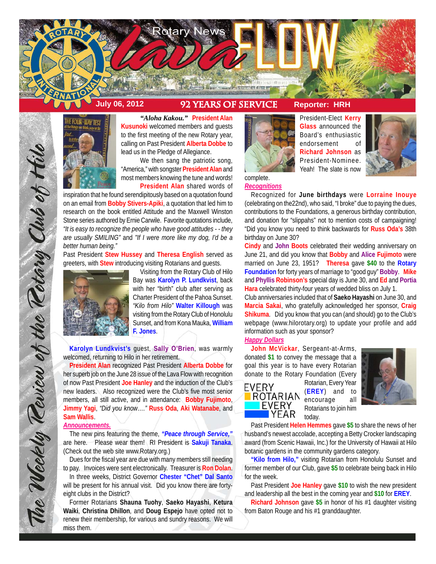

# **July 06, 2012 92 Years of service Reporter: HRH**



*"Aloha Kakou."* **President Alan Kusunoki** welcomed members and guests to the first meeting of the new Rotary year, calling on Past President **Alberta Dobbe** to lead us in the Pledge of Allegiance.

We then sang the patriotic song, "America," with songster **President Alan** and most members knowing the tune and words! **President Alan** shared words of

inspiration that he found serendipitously based on a quotation found on an email from **Bobby Stivers-Apiki**, a quotation that led him to research on the book entitled Attitude and the Maxwell Winston Stone series authored by Ernie Carwile. Favorite quotations include, *"It is easy to recognize the people who have good attitudes - - they are usually SMILING"* and *"If I were more like my dog, I'd be a better human being."*

Past President **Stew Hussey** and **Theresa English** served as greeters, with **Stew** introducing visiting Rotarians and guests.



The Weekly Teview of the Tetary Club of Hilo

Visiting from the Rotary Club of Hilo Bay was **Karolyn P. Lundkvist**, back with her "birth" club after serving as Charter President of the Pahoa Sunset. *"Kilo from Hilo"* **Walter Killough** was visiting from the Rotary Club of Honolulu Sunset, and from Kona Mauka, **William F. Jones**.

**Karolyn Lundkvist's** guest, **Sally O'Brien**, was warmly welcomed, returning to Hilo in her retirement.

**President Alan** recognized Past President **Alberta Dobbe** for her superb job on the June 28 issue of the Lava Flow with recognition of now Past President **Joe Hanley** and the induction of the Club's new leaders. Also recognized were the Club's five most senior members, all still active, and in attendance: **Bobby Fujimoto**, **Jimmy Yagi**, *"Did you know…."* **Russ Oda**, **Aki Watanabe**, and **Sam Wallis**.

#### *Announcements.*

The new pins featuring the theme, *"Peace through Service,"* are here. Please wear them! RI President is **Sakuji Tanaka**. (Check out the web site www.Rotary.org.)

Dues for the fiscal year are due with many members still needing to pay. Invoices were sent electronically. Treasurer is **Ron Dolan**.

In three weeks, District Governor **Chester "Chet" Dal Santo** will be present for his annual visit. Did you know there are fortyeight clubs in the District?

Former Rotarians **Shauna Tuohy**, **Saeko Hayashi**, **Ketura Waiki**, **Christina Dhillon**, and **Doug Espejo** have opted not to renew their membership, for various and sundry reasons. We will miss them.



President-Elect **Kerry Glass** announced the Board's enthusiastic endorsement of **Richard Johnson** as President-Nominee. Yeah! The slate is now



*Recognitions*

Recognized for **June birthdays** were **Lorraine Inouye** (celebrating on the22nd), who said, "I broke" due to paying the dues, contributions to the Foundations, a generous birthday contribution, and donation for "slippahs" not to mention costs of campaigning! "Did you know you need to think backwards for **Russ Oda's** 38th birthday on June 30?

**Cindy** and **John Boots** celebrated their wedding anniversary on June 21, and did you know that **Bobby** and **Alice Fujimoto** were married on June 23, 1951? **Theresa** gave **\$40** to the **Rotary Foundation** for forty years of marriage to "good guy" **Bobby**. **Mike** and **Phyllis Robinson's** special day is June 30, and **Ed** and **Portia Hara** celebrated thirty-four years of wedded bliss on July 1.

Club anniversaries included that of **Saeko Hayashi** on June 30, and **Marcia Sakai**, who gratefully acknowledged her sponsor, **Craig Shikuma**. Did you know that you can (and should) go to the Club's webpage (www.hilorotary.org) to update your profile and add information such as your sponsor?

## *Happy Dollars*

**John McVickar**, Sergeant-at-Arms, donated **\$1** to convey the message that a goal this year is to have every Rotarian donate to the Rotary Foundation (Every



Rotarian, Every Year (**EREY**) and to encourage all Rotarians to join him today.



Past President **Helen Hemmes** gave **\$5** to share the news of her husband's newest accolade, accepting a Betty Crocker landscaping award (from Scenic Hawaii, Inc.) for the University of Hawaii at Hilo botanic gardens in the community gardens category.

**"Kilo from Hilo,"** visiting Rotarian from Honolulu Sunset and former member of our Club, gave **\$5** to celebrate being back in Hilo for the week.

Past President **Joe Hanley** gave **\$10** to wish the new president and leadership all the best in the coming year and **\$10** for **EREY**.

**Richard Johnson** gave **\$5** in honor of his #1 daughter visiting from Baton Rouge and his #1 granddaughter.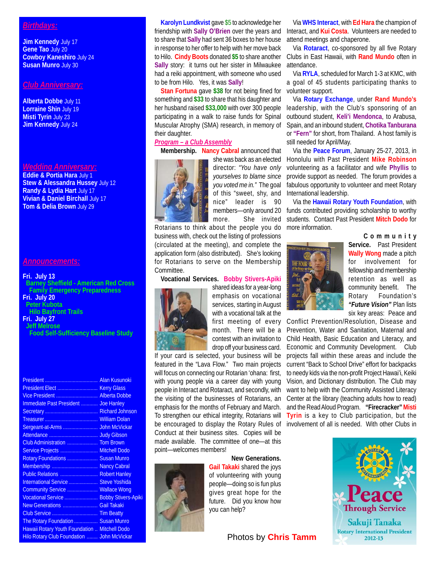# *Birthdays:*

**Jim Kennedy** July 17 **Gene Tao** July 20 **Cowboy Kaneshiro** July 24 **Susan Munro** July 30

#### *Club Anniversary:*

**Alberta Dobbe** July 11 **Lorraine Shin** July 19 **Misti Tyrin** July 23 **Jim Kennedy** July 24

### *Wedding Anniversary:*

**Eddie & Portia Hara** July 1 **Stew & Alessandra Hussey** July 12 **Randy & Lydia Hart** July 17 **Vivian & Daniel Birchall** July 17 **Tom & Delia Brown** July 29

### *Announcements:*

#### **Fri. July 13**

 **Barney Sheffield - American Red Cross Family Emergency Preparedness Fri. July 20 Peter Kubota**

 **Hilo Bayfront Trails**

#### **Fri. July 27 Jeff Melrose**

 **Food Self-Sufficiency Baseline Study**

| Vice President  Alberta Dobbe                     |  |
|---------------------------------------------------|--|
| Immediate Past President  Joe Hanley              |  |
|                                                   |  |
|                                                   |  |
|                                                   |  |
|                                                   |  |
|                                                   |  |
| Service Projects  Mitchell Dodo                   |  |
| Rotary Foundations  Susan Munro                   |  |
| Membership  Nancy Cabral                          |  |
| Public Relations  Robert Hanley                   |  |
| International Service  Steve Yoshida              |  |
| Community Service  Wallace Wong                   |  |
| Vocational Service  Bobby Stivers-Apiki           |  |
| New Generations  Gail Takaki                      |  |
|                                                   |  |
| The Rotary Foundation  Susan Munro                |  |
| Hawaii Rotary Youth Foundation  Mitchell Dodo     |  |
| <b>Hilo Rotary Club Foundation  John McVickar</b> |  |
|                                                   |  |

**Karolyn Lundkvist** gave \$5 to acknowledge her friendship with **Sally O'Brien** over the years and to share that **Sally** had sent 36 boxes to her house in response to her offer to help with her move back to Hilo. **Cindy Boots** donated **\$5** to share another **Sally** story: it turns out her sister in Milwaukee had a reiki appointment, with someone who used to be from Hilo. Yes, it was **Sally**!

**Stan Fortuna** gave **\$38** for not being fined for something and **\$33** to share that his daughter and her husband raised **\$33,000** with over 300 people participating in a walk to raise funds for Spinal Muscular Atrophy (SMA) research, in memory of their daughter.

# *Program – a Club Assembly*

**Membership. Nancy Cabral** announced that



director: *"You have only yourselves to blame since you voted me in."* The goal of this "sweet, shy, and nice" leader is 90 members—only around 20 more. She invited

Rotarians to think about the people you do business with, check out the listing of professions (circulated at the meeting), and complete the application form (also distributed). She's looking for Rotarians to serve on the Membership Committee.

**Vocational Services. Bobby Stivers-Apiki**



shared ideas for a year-long emphasis on vocational services, starting in August with a vocational talk at the first meeting of every month. There will be a contest with an invitation to drop off your business card.

If your card is selected, your business will be featured in the "Lava Flow." Two main projects will focus on connecting our Rotarian 'ohana: first, with young people via a career day with young people in Interact and Rotaract, and secondly, with the visiting of the businesses of Rotarians, an emphasis for the months of February and March. To strengthen our ethical integrity, Rotarians will be encouraged to display the Rotary Rules of Conduct at their business sites. Copies will be made available. The committee of one—at this point—welcomes members!



**New Generations. Gail Takaki** shared the joys of volunteering with young people—doing so is fun plus gives great hope for the future. Did you know how you can help?

**Photos by Chris Tamm** 

Via **WHS Interact**, with **Ed Hara** the champion of Interact, and **Kui Costa**. Volunteers are needed to attend meetings and chaperone.

Via **Rotaract**, co-sponsored by all five Rotary Clubs in East Hawaii, with **Rand Mundo** often in attendance.

Via **RYLA**, scheduled for March 1-3 at KMC, with a goal of 45 students participating thanks to volunteer support.

Via **Rotary Exchange**, under **Rand Mundo's** leadership, with the Club's sponsoring of an outbound student, **Keli'i Mendonca**, to Arabusa, Spain, and an inbound student, **Chotika Tanburana** or **"Fern"** for short, from Thailand. A host family is still needed for April/May.

she was back as an elected Honolulu with Past President **Mike Robinson** Via the **Peace Forum**, January 25-27, 2013, in volunteering as a facilitator and wife **Phyllis** to provide support as needed. The forum provides a fabulous opportunity to volunteer and meet Rotary International leadership.

> Via the **Hawaii Rotary Youth Foundation**, with funds contributed providing scholarship to worthy students. Contact Past President **Mitch Dodo** for more information.



**Community Service.** Past President **Wally Wong** made a pitch for involvement for fellowship and membership retention as well as community benefit. The Rotary Foundation's *"Future Vision"* Plan lists six key areas: Peace and

Conflict Prevention/Resolution, Disease and Prevention, Water and Sanitation, Maternal and Child Health, Basic Education and Literacy, and Economic and Community Development. Club projects fall within these areas and include the current "Back to School Drive" effort for backpacks to needy kids via the non-profit Project Hawai'i, Keiki Vision, and Dictionary distribution. The Club may want to help with the Community Assisted Literacy Center at the library (teaching adults how to read) and the Read Aloud Program. **"Firecracker" Misti Tyrin** is a key to Club participation, but the involvement of all is needed. With other Clubs in